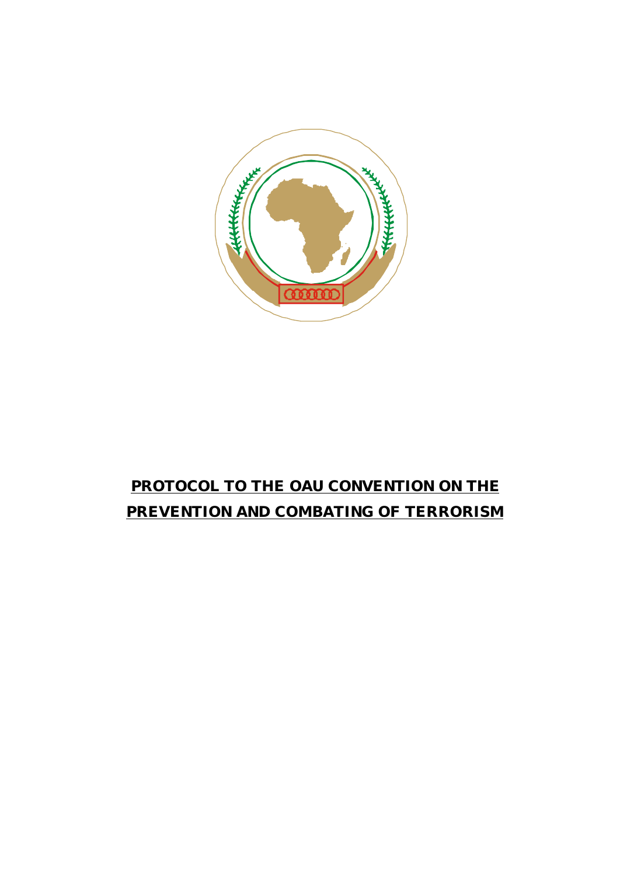

# **PROTOCOL TO THE OAU CONVENTION ON THE PREVENTION AND COMBATING OF TERRORISM**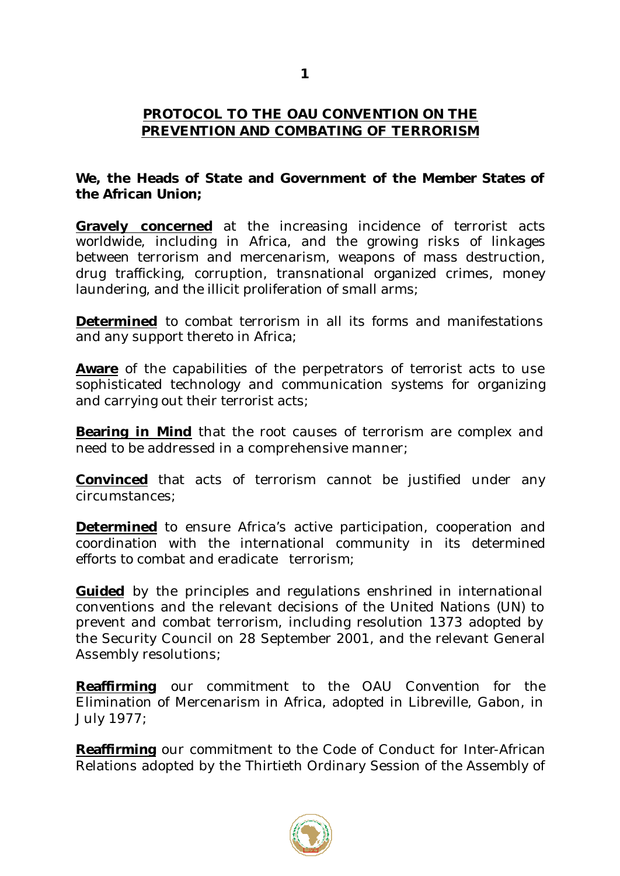# **PROTOCOL TO THE OAU CONVENTION ON THE PREVENTION AND COMBATING OF TERRORISM**

# **We, the Heads of State and Government of the Member States of the African Union;**

**Gravely concerned** at the increasing incidence of terrorist acts worldwide, including in Africa, and the growing risks of linkages between terrorism and mercenarism, weapons of mass destruction, drug trafficking, corruption, transnational organized crimes, money laundering, and the illicit proliferation of small arms;

**Determined** to combat terrorism in all its forms and manifestations and any support thereto in Africa;

**Aware** of the capabilities of the perpetrators of terrorist acts to use sophisticated technology and communication systems for organizing and carrying out their terrorist acts;

**Bearing in Mind** that the root causes of terrorism are complex and need to be addressed in a comprehensive manner;

**Convinced** that acts of terrorism cannot be justified under any circumstances;

**Determined** to ensure Africa's active participation, cooperation and coordination with the international community in its determined efforts to combat and eradicate terrorism;

**Guided** by the principles and regulations enshrined in international conventions and the relevant decisions of the United Nations (UN) to prevent and combat terrorism, including resolution 1373 adopted by the Security Council on 28 September 2001, and the relevant General Assembly resolutions;

**Reaffirming** our commitment to the OAU Convention for the Elimination of Mercenarism in Africa, adopted in Libreville, Gabon, in July 1977;

**Reaffirming** our commitment to the Code of Conduct for Inter-African Relations adopted by the Thirtieth Ordinary Session of the Assembly of

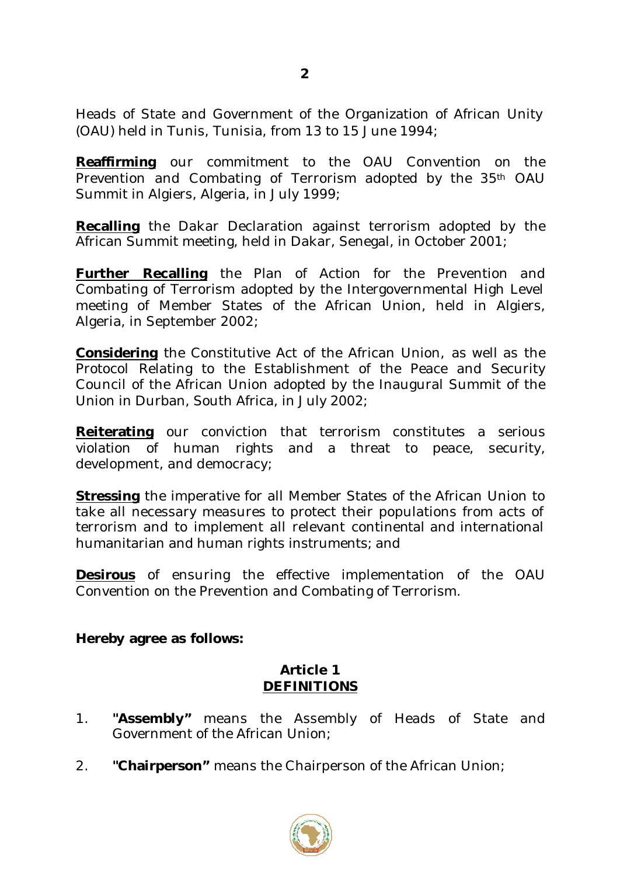Heads of State and Government of the Organization of African Unity (OAU) held in Tunis, Tunisia, from 13 to 15 June 1994;

**Reaffirming** our commitment to the OAU Convention on the Prevention and Combating of Terrorism adopted by the 35<sup>th</sup> OAU Summit in Algiers, Algeria, in July 1999;

**Recalling** the Dakar Declaration against terrorism adopted by the African Summit meeting, held in Dakar, Senegal, in October 2001;

**Further Recalling** the Plan of Action for the Prevention and Combating of Terrorism adopted by the Intergovernmental High Level meeting of Member States of the African Union, held in Algiers, Algeria, in September 2002;

**Considering** the Constitutive Act of the African Union, as well as the Protocol Relating to the Establishment of the Peace and Security Council of the African Union adopted by the Inaugural Summit of the Union in Durban, South Africa, in July 2002;

**Reiterating** our conviction that terrorism constitutes a serious violation of human rights and a threat to peace, security, development, and democracy;

**Stressing** the imperative for all Member States of the African Union to take all necessary measures to protect their populations from acts of terrorism and to implement all relevant continental and international humanitarian and human rights instruments; and

**Desirous** of ensuring the effective implementation of the OAU Convention on the Prevention and Combating of Terrorism.

# **Hereby agree as follows:**

# **Article 1 DEFINITIONS**

- 1. **"Assembly"** means the Assembly of Heads of State and Government of the African Union;
- 2. **"Chairperson"** means the Chairperson of the African Union;



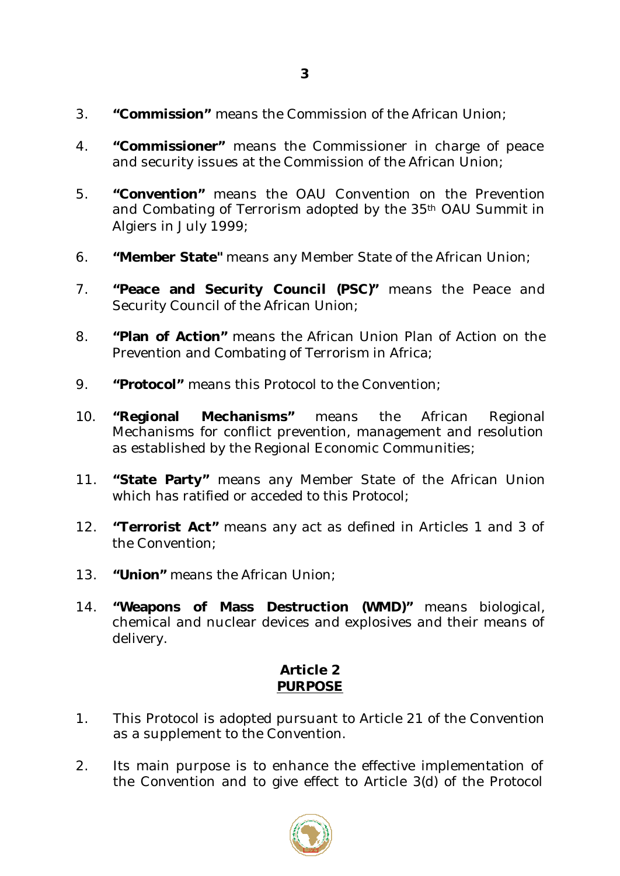- 3. **"Commission"** means the Commission of the African Union;
- 4. **"Commissioner"** means the Commissioner in charge of peace and security issues at the Commission of the African Union;
- 5. **"Convention"** means the OAU Convention on the Prevention and Combating of Terrorism adopted by the 35th OAU Summit in Algiers in July 1999;
- 6. **"Member State"** means any Member State of the African Union;
- 7. **"Peace and Security Council (PSC)"** means the Peace and Security Council of the African Union;
- 8. **"Plan of Action"** means the African Union Plan of Action on the Prevention and Combating of Terrorism in Africa;
- 9. **"Protocol"** means this Protocol to the Convention;
- 10. **"Regional Mechanisms"** means the African Regional Mechanisms for conflict prevention, management and resolution as established by the Regional Economic Communities;
- 11. **"State Party"** means any Member State of the African Union which has ratified or acceded to this Protocol;
- 12. **"Terrorist Act"** means any act as defined in Articles 1 and 3 of the Convention;
- 13. **"Union"** means the African Union;
- 14. **"Weapons of Mass Destruction (WMD)"** means biological, chemical and nuclear devices and explosives and their means of delivery.

# **Article 2 PURPOSE**

- 1. This Protocol is adopted pursuant to Article 21 of the Convention as a supplement to the Convention.
- 2. Its main purpose is to enhance the effective implementation of the Convention and to give effect to Article 3(d) of the Protocol

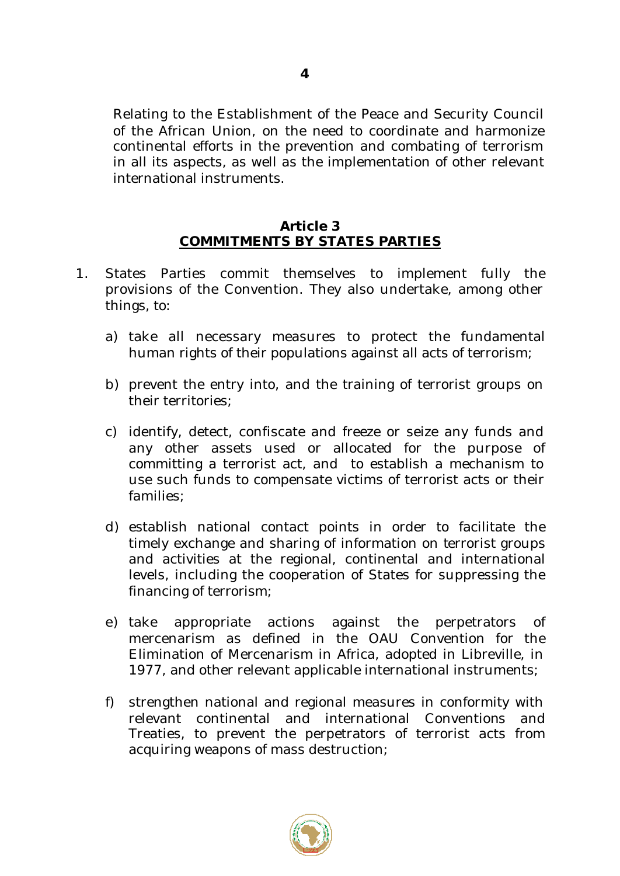Relating to the Establishment of the Peace and Security Council of the African Union, on the need to coordinate and harmonize continental efforts in the prevention and combating of terrorism in all its aspects, as well as the implementation of other relevant international instruments.

#### **Article 3 COMMITMENTS BY STATES PARTIES**

- 1. States Parties commit themselves to implement fully the provisions of the Convention. They also undertake, among other things, to:
	- a) take all necessary measures to protect the fundamental human rights of their populations against all acts of terrorism;
	- b) prevent the entry into, and the training of terrorist groups on their territories;
	- c) identify, detect, confiscate and freeze or seize any funds and any other assets used or allocated for the purpose of committing a terrorist act, and to establish a mechanism to use such funds to compensate victims of terrorist acts or their families;
	- d) establish national contact points in order to facilitate the timely exchange and sharing of information on terrorist groups and activities at the regional, continental and international levels, including the cooperation of States for suppressing the financing of terrorism;
	- e) take appropriate actions against the perpetrators of mercenarism as defined in the OAU Convention for the Elimination of Mercenarism in Africa, adopted in Libreville, in 1977, and other relevant applicable international instruments;
	- f) strengthen national and regional measures in conformity with relevant continental and international Conventions and Treaties, to prevent the perpetrators of terrorist acts from acquiring weapons of mass destruction;



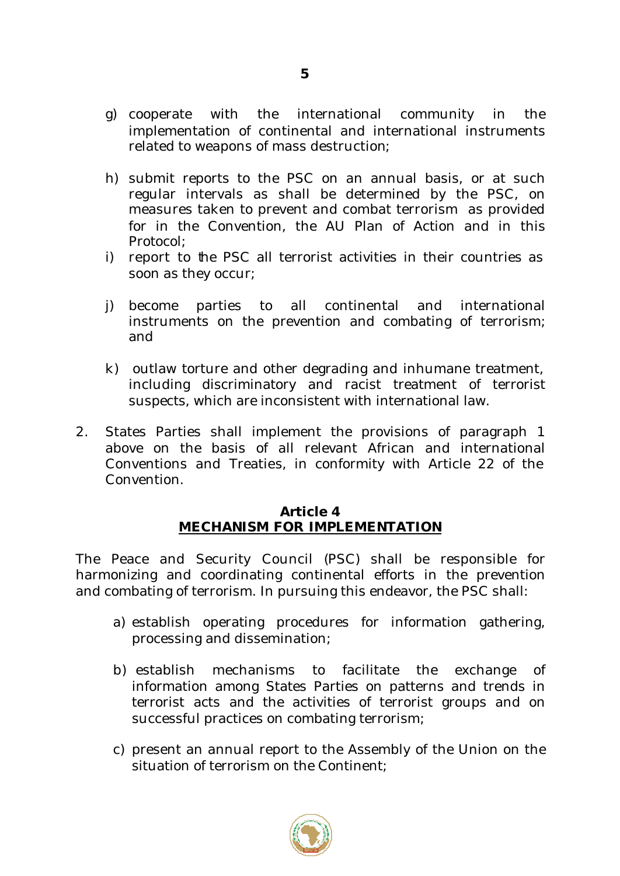- g) cooperate with the international community in the implementation of continental and international instruments related to weapons of mass destruction;
- h) submit reports to the PSC on an annual basis, or at such regular intervals as shall be determined by the PSC, on measures taken to prevent and combat terrorism as provided for in the Convention, the AU Plan of Action and in this Protocol;
- i) report to the PSC all terrorist activities in their countries as soon as they occur;
- j) become parties to all continental and international instruments on the prevention and combating of terrorism; and
- k) outlaw torture and other degrading and inhumane treatment, including discriminatory and racist treatment of terrorist suspects, which are inconsistent with international law.
- 2. States Parties shall implement the provisions of paragraph 1 above on the basis of all relevant African and international Conventions and Treaties, in conformity with Article 22 of the Convention.

#### **Article 4 MECHANISM FOR IMPLEMENTATION**

The Peace and Security Council (PSC) shall be responsible for harmonizing and coordinating continental efforts in the prevention and combating of terrorism. In pursuing this endeavor, the PSC shall:

- a) establish operating procedures for information gathering, processing and dissemination;
- b) establish mechanisms to facilitate the exchange of information among States Parties on patterns and trends in terrorist acts and the activities of terrorist groups and on successful practices on combating terrorism;
- c) present an annual report to the Assembly of the Union on the situation of terrorism on the Continent;



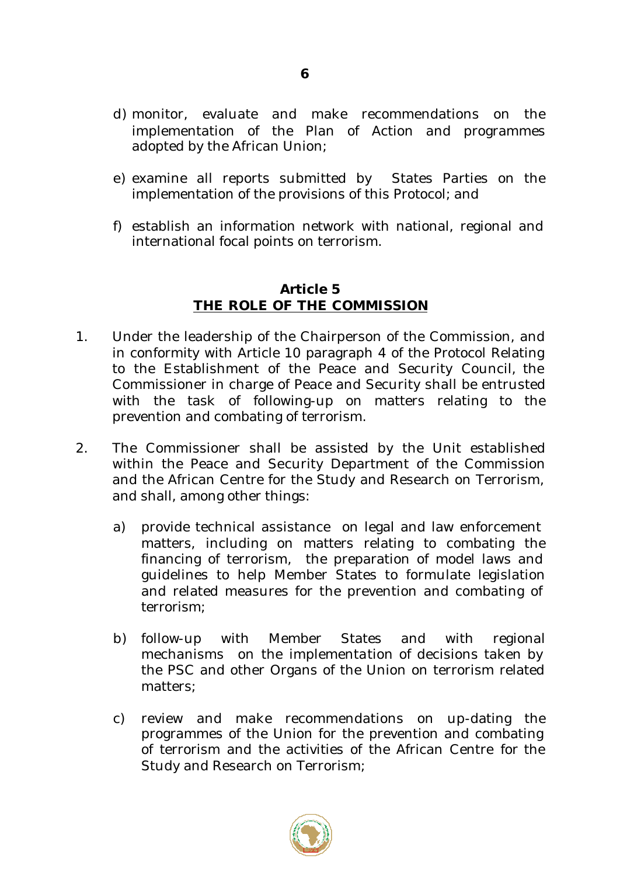- d) monitor, evaluate and make recommendations on the implementation of the Plan of Action and programmes adopted by the African Union;
- e) examine all reports submitted by States Parties on the implementation of the provisions of this Protocol; and
- f) establish an information network with national, regional and international focal points on terrorism.

#### **Article 5 THE ROLE OF THE COMMISSION**

- 1. Under the leadership of the Chairperson of the Commission, and in conformity with Article 10 paragraph 4 of the Protocol Relating to the Establishment of the Peace and Security Council, the Commissioner in charge of Peace and Security shall be entrusted with the task of following-up on matters relating to the prevention and combating of terrorism.
- 2. The Commissioner shall be assisted by the Unit established within the Peace and Security Department of the Commission and the African Centre for the Study and Research on Terrorism, and shall, among other things:
	- a) provide technical assistance on legal and law enforcement matters, including on matters relating to combating the financing of terrorism, the preparation of model laws and guidelines to help Member States to formulate legislation and related measures for the prevention and combating of terrorism;
	- b) follow-up with Member States and with regional mechanisms on the implementation of decisions taken by the PSC and other Organs of the Union on terrorism related matters;
	- c) review and make recommendations on up-dating the programmes of the Union for the prevention and combating of terrorism and the activities of the African Centre for the Study and Research on Terrorism;



**6**

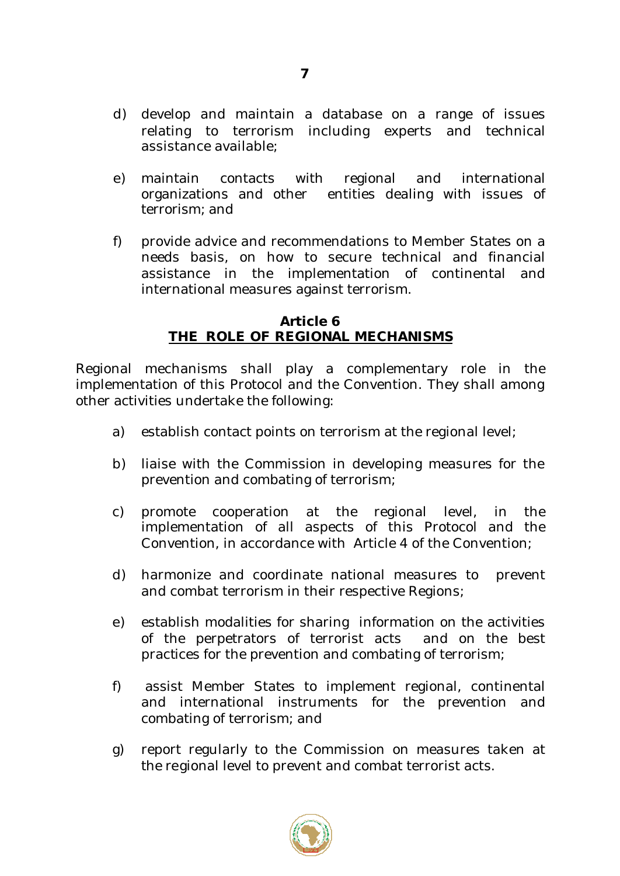- d) develop and maintain a database on a range of issues relating to terrorism including experts and technical assistance available;
- e) maintain contacts with regional and international organizations and other entities dealing with issues of terrorism; and
- f) provide advice and recommendations to Member States on a needs basis, on how to secure technical and financial assistance in the implementation of continental and international measures against terrorism.

#### **Article 6 THE ROLE OF REGIONAL MECHANISMS**

Regional mechanisms shall play a complementary role in the implementation of this Protocol and the Convention. They shall among other activities undertake the following:

- a) establish contact points on terrorism at the regional level;
- b) liaise with the Commission in developing measures for the prevention and combating of terrorism;
- c) promote cooperation at the regional level, in the implementation of all aspects of this Protocol and the Convention, in accordance with Article 4 of the Convention;
- d) harmonize and coordinate national measures to prevent and combat terrorism in their respective Regions;
- e) establish modalities for sharing information on the activities of the perpetrators of terrorist acts and on the best practices for the prevention and combating of terrorism;
- f) assist Member States to implement regional, continental and international instruments for the prevention and combating of terrorism; and
- g) report regularly to the Commission on measures taken at the regional level to prevent and combat terrorist acts.



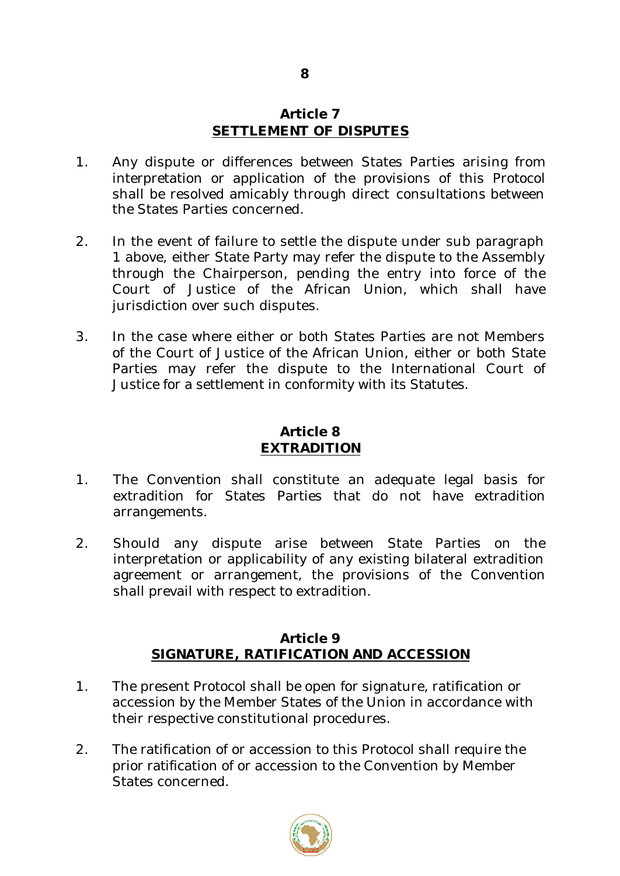#### **Article 7 SETTLEMENT OF DISPUTES**

- 1. Any dispute or differences between States Parties arising from interpretation or application of the provisions of this Protocol shall be resolved amicably through direct consultations between the States Parties concerned.
- 2. In the event of failure to settle the dispute under sub paragraph 1 above, either State Party may refer the dispute to the Assembly through the Chairperson, pending the entry into force of the Court of Justice of the African Union, which shall have jurisdiction over such disputes.
- 3. In the case where either or both States Parties are not Members of the Court of Justice of the African Union, either or both State Parties may refer the dispute to the International Court of Justice for a settlement in conformity with its Statutes.

#### **Article 8 EXTRADITION**

- 1. The Convention shall constitute an adequate legal basis for extradition for States Parties that do not have extradition arrangements.
- 2. Should any dispute arise between State Parties on the interpretation or applicability of any existing bilateral extradition agreement or arrangement, the provisions of the Convention shall prevail with respect to extradition.

# **Article 9 SIGNATURE, RATIFICATION AND ACCESSION**

- 1. The present Protocol shall be open for signature, ratification or accession by the Member States of the Union in accordance with their respective constitutional procedures.
- 2. The ratification of or accession to this Protocol shall require the prior ratification of or accession to the Convention by Member States concerned.